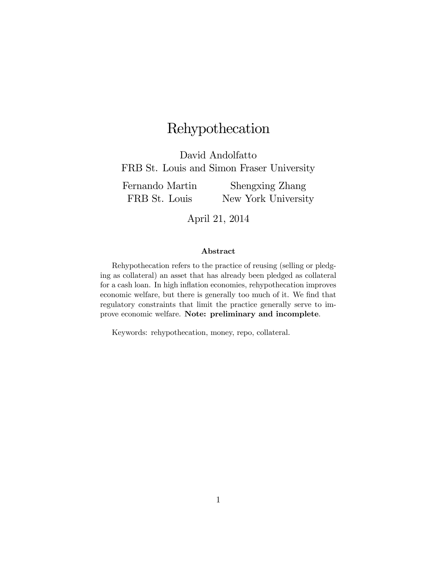# Rehypothecation

David Andolfatto FRB St. Louis and Simon Fraser University

Fernando Martin FRB St. Louis Shengxing Zhang New York University

April 21, 2014

#### Abstract

Rehypothecation refers to the practice of reusing (selling or pledging as collateral) an asset that has already been pledged as collateral for a cash loan. In high inflation economies, rehypothecation improves economic welfare, but there is generally too much of it. We find that regulatory constraints that limit the practice generally serve to improve economic welfare. Note: preliminary and incomplete.

Keywords: rehypothecation, money, repo, collateral.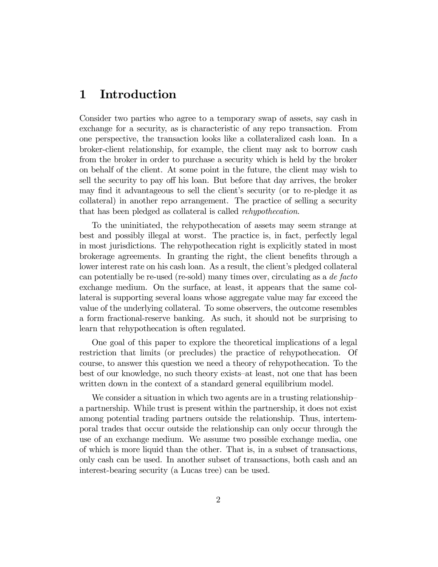## 1 Introduction

Consider two parties who agree to a temporary swap of assets, say cash in exchange for a security, as is characteristic of any repo transaction. From one perspective, the transaction looks like a collateralized cash loan. In a broker-client relationship, for example, the client may ask to borrow cash from the broker in order to purchase a security which is held by the broker on behalf of the client. At some point in the future, the client may wish to sell the security to pay off his loan. But before that day arrives, the broker may find it advantageous to sell the client's security (or to re-pledge it as collateral) in another repo arrangement. The practice of selling a security that has been pledged as collateral is called rehypothecation.

To the uninitiated, the rehypothecation of assets may seem strange at best and possibly illegal at worst. The practice is, in fact, perfectly legal in most jurisdictions. The rehypothecation right is explicitly stated in most brokerage agreements. In granting the right, the client benefits through a lower interest rate on his cash loan. As a result, the client's pledged collateral can potentially be re-used (re-sold) many times over, circulating as a de facto exchange medium. On the surface, at least, it appears that the same collateral is supporting several loans whose aggregate value may far exceed the value of the underlying collateral. To some observers, the outcome resembles a form fractional-reserve banking. As such, it should not be surprising to learn that rehypothecation is often regulated.

One goal of this paper to explore the theoretical implications of a legal restriction that limits (or precludes) the practice of rehypothecation. Of course, to answer this question we need a theory of rehypothecation. To the best of our knowledge, no such theory exists—at least, not one that has been written down in the context of a standard general equilibrium model.

We consider a situation in which two agents are in a trusting relationship a partnership. While trust is present within the partnership, it does not exist among potential trading partners outside the relationship. Thus, intertemporal trades that occur outside the relationship can only occur through the use of an exchange medium. We assume two possible exchange media, one of which is more liquid than the other. That is, in a subset of transactions, only cash can be used. In another subset of transactions, both cash and an interest-bearing security (a Lucas tree) can be used.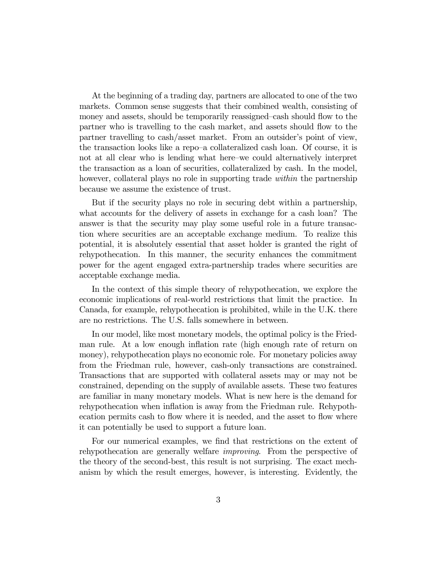At the beginning of a trading day, partners are allocated to one of the two markets. Common sense suggests that their combined wealth, consisting of money and assets, should be temporarily reassigned—cash should flow to the partner who is travelling to the cash market, and assets should flow to the partner travelling to cash/asset market. From an outsider's point of view, the transaction looks like a repo—a collateralized cash loan. Of course, it is not at all clear who is lending what here—we could alternatively interpret the transaction as a loan of securities, collateralized by cash. In the model, however, collateral plays no role in supporting trade *within* the partnership because we assume the existence of trust.

But if the security plays no role in securing debt within a partnership, what accounts for the delivery of assets in exchange for a cash loan? The answer is that the security may play some useful role in a future transaction where securities are an acceptable exchange medium. To realize this potential, it is absolutely essential that asset holder is granted the right of rehypothecation. In this manner, the security enhances the commitment power for the agent engaged extra-partnership trades where securities are acceptable exchange media.

In the context of this simple theory of rehypothecation, we explore the economic implications of real-world restrictions that limit the practice. In Canada, for example, rehypothecation is prohibited, while in the U.K. there are no restrictions. The U.S. falls somewhere in between.

In our model, like most monetary models, the optimal policy is the Friedman rule. At a low enough inflation rate (high enough rate of return on money), rehypothecation plays no economic role. For monetary policies away from the Friedman rule, however, cash-only transactions are constrained. Transactions that are supported with collateral assets may or may not be constrained, depending on the supply of available assets. These two features are familiar in many monetary models. What is new here is the demand for rehypothecation when inflation is away from the Friedman rule. Rehypothecation permits cash to flow where it is needed, and the asset to flow where it can potentially be used to support a future loan.

For our numerical examples, we find that restrictions on the extent of rehypothecation are generally welfare improving. From the perspective of the theory of the second-best, this result is not surprising. The exact mechanism by which the result emerges, however, is interesting. Evidently, the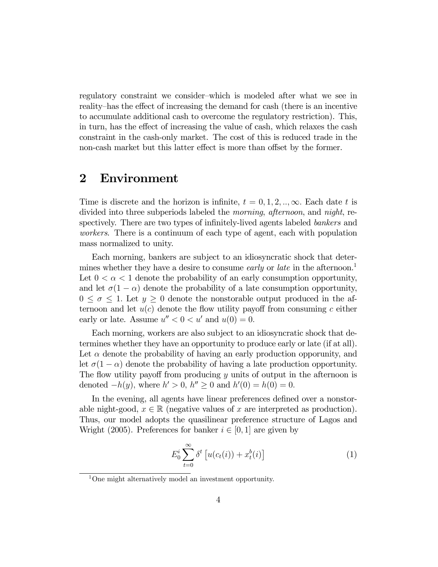regulatory constraint we consider—which is modeled after what we see in reality—has the effect of increasing the demand for cash (there is an incentive to accumulate additional cash to overcome the regulatory restriction). This, in turn, has the effect of increasing the value of cash, which relaxes the cash constraint in the cash-only market. The cost of this is reduced trade in the non-cash market but this latter effect is more than offset by the former.

### 2 Environment

Time is discrete and the horizon is infinite,  $t = 0, 1, 2, \ldots, \infty$ . Each date t is divided into three subperiods labeled the *morning*, *afternoon*, and *night*, respectively. There are two types of infinitely-lived agents labeled *bankers* and workers. There is a continuum of each type of agent, each with population mass normalized to unity.

Each morning, bankers are subject to an idiosyncratic shock that determines whether they have a desire to consume *early* or *late* in the afternoon.<sup>1</sup> Let  $0 < \alpha < 1$  denote the probability of an early consumption opportunity, and let  $\sigma(1 - \alpha)$  denote the probability of a late consumption opportunity,  $0 \leq \sigma \leq 1$ . Let  $y \geq 0$  denote the nonstorable output produced in the afternoon and let  $u(c)$  denote the flow utility payoff from consuming c either early or late. Assume  $u'' < 0 < u'$  and  $u(0) = 0$ .

Each morning, workers are also subject to an idiosyncratic shock that determines whether they have an opportunity to produce early or late (if at all). Let  $\alpha$  denote the probability of having an early production opporunity, and let  $\sigma(1 - \alpha)$  denote the probability of having a late production opportunity. The flow utility payoff from producing  $y$  units of output in the afternoon is denoted  $-h(y)$ , where  $h' > 0$ ,  $h'' \ge 0$  and  $h'(0) = h(0) = 0$ .

In the evening, all agents have linear preferences defined over a nonstorable night-good,  $x \in \mathbb{R}$  (negative values of x are interpreted as production). Thus, our model adopts the quasilinear preference structure of Lagos and Wright (2005). Preferences for banker  $i \in [0, 1]$  are given by

$$
E_0^i \sum_{t=0}^{\infty} \delta^t \left[ u(c_t(i)) + x_t^b(i) \right] \tag{1}
$$

<sup>&</sup>lt;sup>1</sup>One might alternatively model an investment opportunity.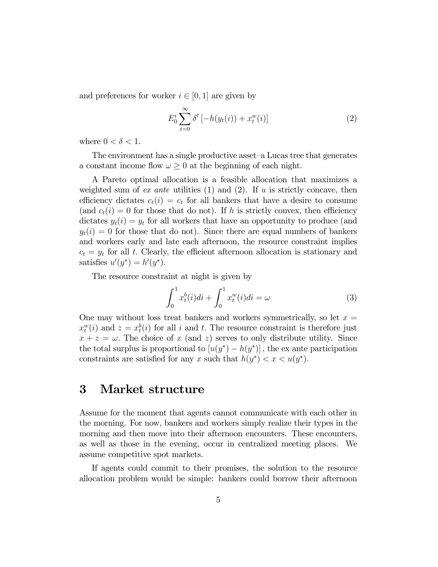and preferences for worker  $i \in [0,1]$  are given by

$$
E_0^i \sum_{t=0}^{\infty} \delta^t \left[ -h(y_t(i)) + x_t^w(i) \right] \tag{2}
$$

where  $0 < \delta < 1$ .

The environment has a single productive asset—a Lucas tree that generates a constant income flow  $\omega \geq 0$  at the beginning of each night.

A Pareto optimal allocation is a feasible allocation that maximizes a weighted sum of ex ante utilities  $(1)$  and  $(2)$ . If  $u$  is strictly concave, then efficiency dictates  $c_t(i) = c_t$  for all bankers that have a desire to consume (and  $c_t(i)=0$  for those that do not). If h is strictly convex, then efficiency dictates  $y_t(i) = y_t$  for all workers that have an opportunity to produce (and  $y_t(i)=0$  for those that do not). Since there are equal numbers of bankers and workers early and late each afternoon, the resource constraint implies  $c_t = y_t$  for all t. Clearly, the efficient afternoon allocation is stationary and satisfies  $u'(y^*) = h'(y^*)$ .

The resource constraint at night is given by

$$
\int_{0}^{1} x_{t}^{b}(i)di + \int_{0}^{1} x_{t}^{w}(i)di = \omega
$$
\n(3)

One may without loss treat bankers and workers symmetrically, so let  $x =$  $x_t^w(i)$  and  $z = x_t^b(i)$  for all i and t. The resource constraint is therefore just  $x + z = \omega$ . The choice of x (and z) serves to only distribute utility. Since the total surplus is proportional to  $[u(y^*) - h(y^*)]$ , the ex ante participation constraints are satisfied for any x such that  $h(y^*) < x < u(y^*)$ .

### 3 Market structure

Assume for the moment that agents cannot communicate with each other in the morning. For now, bankers and workers simply realize their types in the morning and then move into their afternoon encounters. These encounters, as well as those in the evening, occur in centralized meeting places. We assume competitive spot markets.

If agents could commit to their promises, the solution to the resource allocation problem would be simple: bankers could borrow their afternoon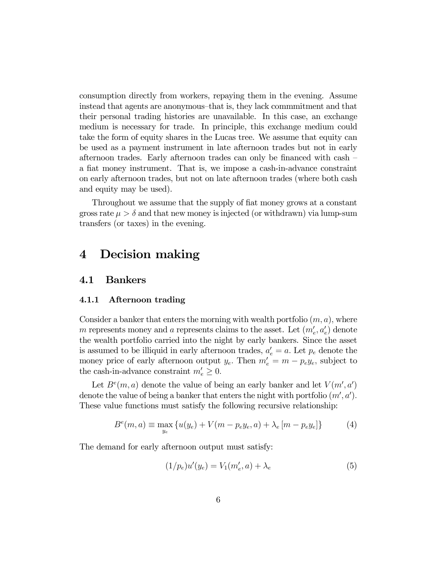consumption directly from workers, repaying them in the evening. Assume instead that agents are anonymous—that is, they lack commmitment and that their personal trading histories are unavailable. In this case, an exchange medium is necessary for trade. In principle, this exchange medium could take the form of equity shares in the Lucas tree. We assume that equity can be used as a payment instrument in late afternoon trades but not in early afternoon trades. Early afternoon trades can only be financed with cash a fiat money instrument. That is, we impose a cash-in-advance constraint on early afternoon trades, but not on late afternoon trades (where both cash and equity may be used).

Throughout we assume that the supply of fiat money grows at a constant gross rate  $\mu > \delta$  and that new money is injected (or withdrawn) via lump-sum transfers (or taxes) in the evening.

## 4 Decision making

#### 4.1 Bankers

#### 4.1.1 Afternoon trading

Consider a banker that enters the morning with wealth portfolio  $(m, a)$ , where m represents money and a represents claims to the asset. Let  $(m'_e, a'_e)$  denote the wealth portfolio carried into the night by early bankers. Since the asset is assumed to be illiquid in early afternoon trades,  $a'_e = a$ . Let  $p_e$  denote the money price of early afternoon output  $y_e$ . Then  $m'_e = m - p_e y_e$ , subject to the cash-in-advance constraint  $m'_e \geq 0$ .

Let  $B<sup>e</sup>(m, a)$  denote the value of being an early banker and let  $V(m', a')$ denote the value of being a banker that enters the night with portfolio  $(m', a')$ . These value functions must satisfy the following recursive relationship:

$$
B^{e}(m, a) \equiv \max_{y_e} \{ u(y_e) + V(m - p_e y_e, a) + \lambda_e [m - p_e y_e] \}
$$
 (4)

The demand for early afternoon output must satisfy:

$$
(1/p_e)u'(y_e) = V_1(m'_e, a) + \lambda_e
$$
 (5)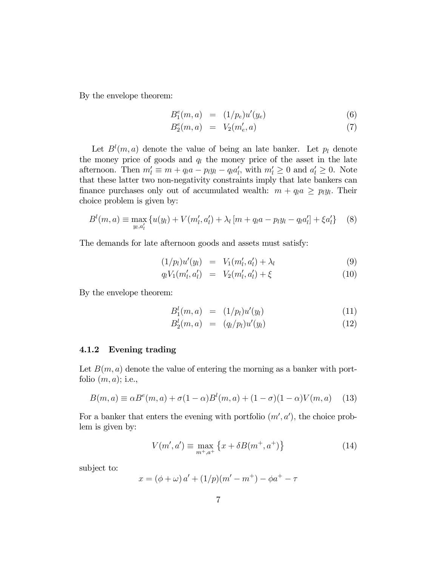By the envelope theorem:

$$
B_1^e(m, a) = (1/p_e)u'(y_e)
$$
 (6)

$$
B_2^e(m, a) = V_2(m'_e, a)
$$
 (7)

Let  $B^l(m, a)$  denote the value of being an late banker. Let  $p_l$  denote the money price of goods and  $q_l$  the money price of the asset in the late afternoon. Then  $m'_l \equiv m + q_l a - p_l y_l - q_l a'_l$ , with  $m'_l \geq 0$  and  $a'_l \geq 0$ . Note that these latter two non-negativity constraints imply that late bankers can finance purchases only out of accumulated wealth:  $m + q_l a \geq p_l y_l$ . Their choice problem is given by:

$$
B^{l}(m, a) \equiv \max_{y_{l}, a'_{l}} \{ u(y_{l}) + V(m'_{l}, a'_{l}) + \lambda_{l} [m + q_{l}a - p_{l}y_{l} - q_{l}a'_{l}] + \xi a'_{l} \} \quad (8)
$$

The demands for late afternoon goods and assets must satisfy:

$$
(1/p_l)u'(y_l) = V_1(m'_l, a'_l) + \lambda_l \tag{9}
$$

$$
q_l V_1(m'_l, a'_l) = V_2(m'_l, a'_l) + \xi \tag{10}
$$

By the envelope theorem:

$$
B_1^l(m, a) = (1/p_l)u'(y_l)
$$
 (11)

$$
B_2^l(m, a) = (q_l/p_l)u'(y_l)
$$
 (12)

#### 4.1.2 Evening trading

Let  $B(m, a)$  denote the value of entering the morning as a banker with portfolio  $(m, a)$ ; i.e.,

$$
B(m,a) \equiv \alpha B^{e}(m,a) + \sigma(1-\alpha)B^{l}(m,a) + (1-\sigma)(1-\alpha)V(m,a)
$$
 (13)

For a banker that enters the evening with portfolio  $(m', a')$ , the choice problem is given by:

$$
V(m', a') \equiv \max_{m^+, a^+} \left\{ x + \delta B(m^+, a^+) \right\} \tag{14}
$$

subject to:

$$
x = (\phi + \omega) a' + (1/p)(m' - m^{+}) - \phi a^{+} - \tau
$$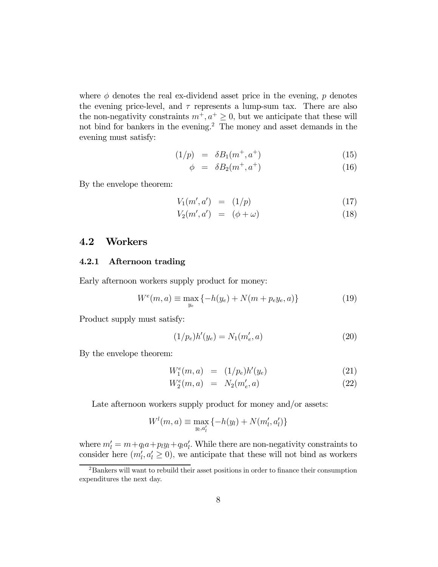where  $\phi$  denotes the real ex-dividend asset price in the evening,  $p$  denotes the evening price-level, and  $\tau$  represents a lump-sum tax. There are also the non-negativity constraints  $m^+, a^+ \geq 0$ , but we anticipate that these will not bind for bankers in the evening.<sup>2</sup> The money and asset demands in the evening must satisfy:

$$
(1/p) = \delta B_1(m^+, a^+) \tag{15}
$$

$$
\phi = \delta B_2(m^+, a^+) \tag{16}
$$

By the envelope theorem:

$$
V_1(m', a') = (1/p) \tag{17}
$$

$$
V_2(m',a') = (\phi + \omega) \tag{18}
$$

#### 4.2 Workers

#### 4.2.1 Afternoon trading

Early afternoon workers supply product for money:

$$
W^{e}(m, a) \equiv \max_{y_e} \{ -h(y_e) + N(m + p_e y_e, a) \}
$$
 (19)

Product supply must satisfy:

$$
(1/p_e)h'(y_e) = N_1(m'_e, a)
$$
\n(20)

By the envelope theorem:

$$
W_1^e(m, a) = (1/p_e)h'(y_e)
$$
 (21)

$$
W_2^e(m, a) = N_2(m'_e, a)
$$
 (22)

Late afternoon workers supply product for money and/or assets:

$$
W^{l}(m, a) \equiv \max_{y_{l}, a'_{l}} \{-h(y_{l}) + N(m'_{l}, a'_{l})\}
$$

where  $m'_l = m + q_l a + p_l y_l + q_l a'_l$ . While there are non-negativity constraints to consider here  $(m'_l, a'_l \geq 0)$ , we anticipate that these will not bind as workers

<sup>2</sup>Bankers will want to rebuild their asset positions in order to finance their consumption expenditures the next day.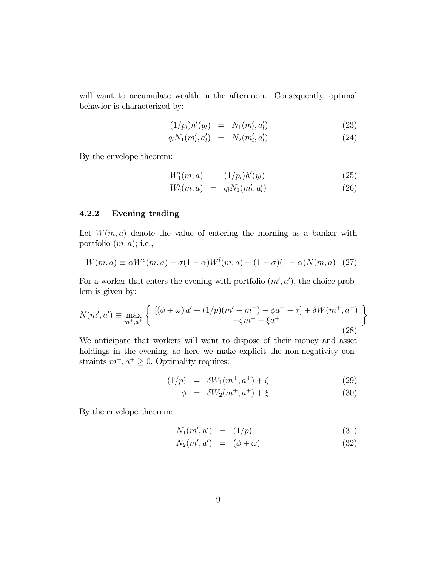will want to accumulate wealth in the afternoon. Consequently, optimal behavior is characterized by:

$$
(1/p_l)h'(y_l) = N_1(m'_l, a'_l)
$$
 (23)

$$
q_l N_1(m'_l, a'_l) = N_2(m'_l, a'_l)
$$
\n(24)

By the envelope theorem:

$$
W_1^l(m, a) = (1/p_l)h'(y_l)
$$
\n(25)

$$
W_2^l(m, a) = q_l N_1(m'_l, a'_l)
$$
\n(26)

#### 4.2.2 Evening trading

Let  $W(m, a)$  denote the value of entering the morning as a banker with portfolio  $(m, a)$ ; i.e.,

$$
W(m, a) \equiv \alpha W^{e}(m, a) + \sigma (1 - \alpha) W^{l}(m, a) + (1 - \sigma)(1 - \alpha) N(m, a) \quad (27)
$$

For a worker that enters the evening with portfolio  $(m', a')$ , the choice problem is given by:

$$
N(m', a') \equiv \max_{m^+, a^+} \left\{ \begin{array}{c} \left[ (\phi + \omega) a' + (1/p)(m' - m^+) - \phi a^+ - \tau \right] + \delta W(m^+, a^+) \\ + \zeta m^+ + \xi a^+ \end{array} \right\}
$$
(28)

We anticipate that workers will want to dispose of their money and asset holdings in the evening, so here we make explicit the non-negativity constraints  $m^+, a^+ \geq 0$ . Optimality requires:

$$
(1/p) = \delta W_1(m^+, a^+) + \zeta \tag{29}
$$

$$
\phi = \delta W_2(m^+, a^+) + \xi \tag{30}
$$

By the envelope theorem:

$$
N_1(m', a') = (1/p) \tag{31}
$$

$$
N_2(m',a') = (\phi + \omega) \tag{32}
$$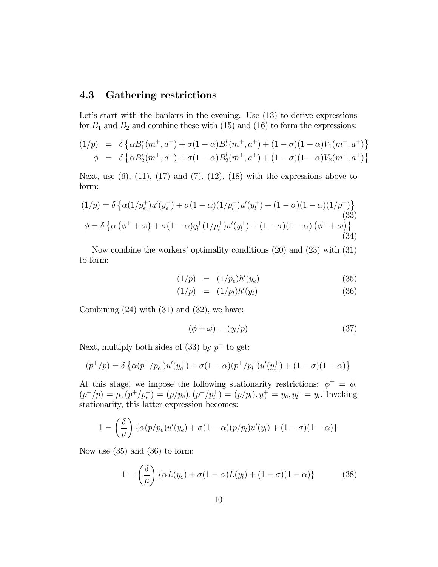### 4.3 Gathering restrictions

Let's start with the bankers in the evening. Use  $(13)$  to derive expressions for  $B_1$  and  $B_2$  and combine these with (15) and (16) to form the expressions:

$$
(1/p) = \delta \left\{ \alpha B_1^e(m^+, a^+) + \sigma (1 - \alpha) B_1^l(m^+, a^+) + (1 - \sigma)(1 - \alpha) V_1(m^+, a^+) \right\}
$$
  

$$
\phi = \delta \left\{ \alpha B_2^e(m^+, a^+) + \sigma (1 - \alpha) B_2^l(m^+, a^+) + (1 - \sigma)(1 - \alpha) V_2(m^+, a^+) \right\}
$$

Next, use  $(6)$ ,  $(11)$ ,  $(17)$  and  $(7)$ ,  $(12)$ ,  $(18)$  with the expressions above to form:

$$
(1/p) = \delta \left\{ \alpha (1/p_e^+) u'(y_e^+) + \sigma (1-\alpha)(1/p_l^+) u'(y_l^+) + (1-\sigma)(1-\alpha)(1/p^+) \right\}
$$
  
\n(33)  
\n
$$
\phi = \delta \left\{ \alpha (\phi^+ + \omega) + \sigma (1-\alpha) q_l^+ (1/p_l^+) u'(y_l^+) + (1-\sigma)(1-\alpha) (\phi^+ + \omega) \right\}
$$
  
\n(34)

Now combine the workers' optimality conditions (20) and (23) with (31) to form:

$$
(1/p) = (1/p_e)h'(y_e)
$$
 (35)

$$
(1/p) = (1/p_l)h'(y_l) \t\t(36)
$$

Combining  $(24)$  with  $(31)$  and  $(32)$ , we have:

$$
(\phi + \omega) = (q_l/p) \tag{37}
$$

Next, multiply both sides of (33) by  $p^+$  to get:

$$
(p^{+}/p) = \delta \left\{ \alpha (p^{+}/p_{e}^{+}) u'(y_{e}^{+}) + \sigma (1-\alpha) (p^{+}/p_{l}^{+}) u'(y_{l}^{+}) + (1-\sigma) (1-\alpha) \right\}
$$

At this stage, we impose the following stationarity restrictions:  $\phi^+ = \phi$ ,  $(p^+/p) = \mu, (p^+/p_e^+) = (p/p_e), (p^+/p_l^+) = (p/p_l), y_e^+ = y_e, y_l^+ = y_l$ . Invoking stationarity, this latter expression becomes:

$$
1 = \left(\frac{\delta}{\mu}\right) \left\{ \alpha(p/p_e) u'(y_e) + \sigma(1-\alpha)(p/p_l) u'(y_l) + (1-\sigma)(1-\alpha) \right\}
$$

Now use (35) and (36) to form:

$$
1 = \left(\frac{\delta}{\mu}\right) \left\{ \alpha L(y_e) + \sigma(1 - \alpha) L(y_l) + (1 - \sigma)(1 - \alpha) \right\} \tag{38}
$$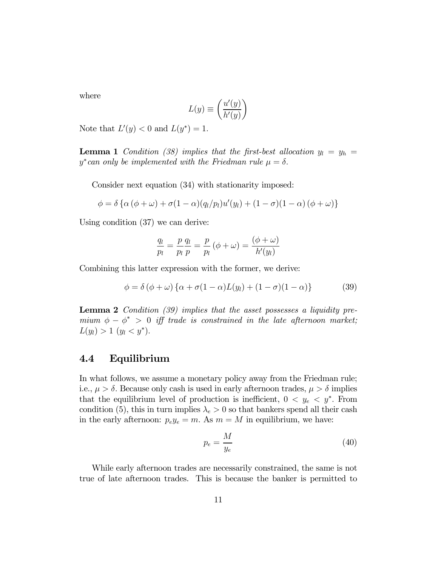where

$$
L(y) \equiv \left(\frac{u'(y)}{h'(y)}\right)
$$

Note that  $L'(y) < 0$  and  $L(y^*)=1$ .

**Lemma 1** Condition (38) implies that the first-best allocation  $y_l = y_h =$  $y^*$ can only be implemented with the Friedman rule  $\mu = \delta$ .

Consider next equation (34) with stationarity imposed:

$$
\phi = \delta \left\{ \alpha (\phi + \omega) + \sigma (1 - \alpha) (q_l / p_l) u'(y_l) + (1 - \sigma) (1 - \alpha) (\phi + \omega) \right\}
$$

Using condition (37) we can derive:

$$
\frac{q_l}{p_l} = \frac{p}{p_l} \frac{q_l}{p} = \frac{p}{p_l} \left( \phi + \omega \right) = \frac{\left( \phi + \omega \right)}{h'(y_l)}
$$

Combining this latter expression with the former, we derive:

$$
\phi = \delta (\phi + \omega) \{ \alpha + \sigma (1 - \alpha) L(y_l) + (1 - \sigma) (1 - \alpha) \}
$$
 (39)

Lemma 2 Condition (39) implies that the asset possesses a liquidity premium  $\phi - \phi^* > 0$  iff trade is constrained in the late afternoon market;  $L(y_l) > 1$   $(y_l < y^*).$ 

#### 4.4 Equilibrium

In what follows, we assume a monetary policy away from the Friedman rule; i.e.,  $\mu > \delta$ . Because only cash is used in early afternoon trades,  $\mu > \delta$  implies that the equilibrium level of production is inefficient,  $0 < y_e < y^*$ . From condition (5), this in turn implies  $\lambda_e > 0$  so that bankers spend all their cash in the early afternoon:  $p_e y_e = m$ . As  $m = M$  in equilibrium, we have:

$$
p_e = \frac{M}{y_e} \tag{40}
$$

While early afternoon trades are necessarily constrained, the same is not true of late afternoon trades. This is because the banker is permitted to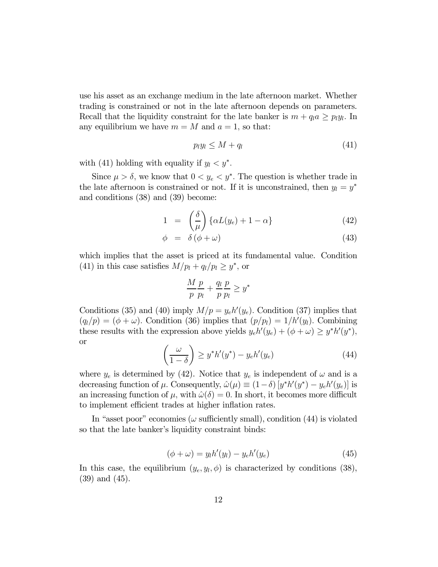use his asset as an exchange medium in the late afternoon market. Whether trading is constrained or not in the late afternoon depends on parameters. Recall that the liquidity constraint for the late banker is  $m + q_l a \geq p_l y_l$ . In any equilibrium we have  $m = M$  and  $a = 1$ , so that:

$$
p_l y_l \le M + q_l \tag{41}
$$

with (41) holding with equality if  $y_l < y^*$ .

Since  $\mu > \delta$ , we know that  $0 < y_e < y^*$ . The question is whether trade in the late afternoon is constrained or not. If it is unconstrained, then  $y_l = y^*$ and conditions (38) and (39) become:

$$
1 = \left(\frac{\delta}{\mu}\right) \left\{\alpha L(y_e) + 1 - \alpha\right\} \tag{42}
$$

$$
\phi = \delta(\phi + \omega) \tag{43}
$$

which implies that the asset is priced at its fundamental value. Condition (41) in this case satisfies  $M/p_l + q_l/p_l \geq y^*$ , or

$$
\frac{M}{p}\frac{p}{p_l} + \frac{q_l}{p}\frac{p}{p_l} \ge y^*
$$

Conditions (35) and (40) imply  $M/p = y_e h'(y_e)$ . Condition (37) implies that  $(q_l/p) = (\phi + \omega)$ . Condition (36) implies that  $(p/p_l) = 1/h'(y_l)$ . Combining these results with the expression above yields  $y_e h'(y_e) + (\phi + \omega) \ge y^* h'(y^*),$ or

$$
\left(\frac{\omega}{1-\delta}\right) \ge y^* h'(y^*) - y_e h'(y_e) \tag{44}
$$

where  $y_e$  is determined by (42). Notice that  $y_e$  is independent of  $\omega$  and is a decreasing function of  $\mu$ . Consequently,  $\hat{\omega}(\mu) \equiv (1-\delta) [y^* h'(y^*) - y_e h'(y_e)]$  is an increasing function of  $\mu$ , with  $\hat{\omega}(\delta)=0$ . In short, it becomes more difficult to implement efficient trades at higher inflation rates.

In "asset poor" economies ( $\omega$  sufficiently small), condition (44) is violated so that the late banker's liquidity constraint binds:

$$
(\phi + \omega) = y_l h'(y_l) - y_e h'(y_e)
$$
\n(45)

In this case, the equilibrium  $(y_e, y_l, \phi)$  is characterized by conditions (38), (39) and (45).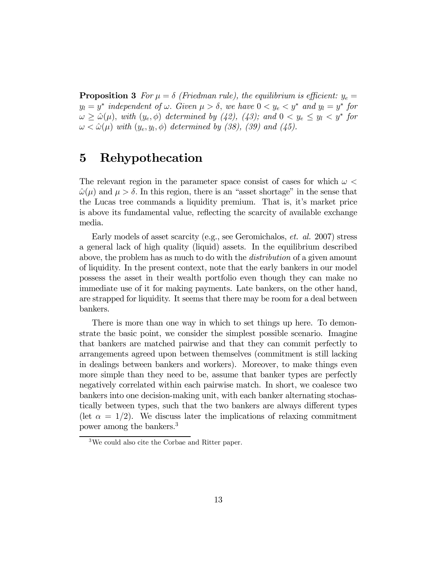**Proposition 3** For  $\mu = \delta$  (Friedman rule), the equilibrium is efficient:  $y_e =$  $y_l = y^*$  independent of  $\omega$ . Given  $\mu > \delta$ , we have  $0 < y_e < y^*$  and  $y_l = y^*$  for  $\omega \geq \hat{\omega}(\mu)$ , with  $(y_e, \phi)$  determined by (42), (43); and  $0 < y_e \leq y_l < y^*$  for  $\omega < \hat{\omega}(\mu)$  with  $(y_e, y_l, \phi)$  determined by (38), (39) and (45).

## 5 Rehypothecation

The relevant region in the parameter space consist of cases for which  $\omega$  <  $\hat{\omega}(\mu)$  and  $\mu > \delta$ . In this region, there is an "asset shortage" in the sense that the Lucas tree commands a liquidity premium. That is, it's market price is above its fundamental value, reflecting the scarcity of available exchange media.

Early models of asset scarcity (e.g., see Geromichalos, et. al. 2007) stress a general lack of high quality (liquid) assets. In the equilibrium described above, the problem has as much to do with the distribution of a given amount of liquidity. In the present context, note that the early bankers in our model possess the asset in their wealth portfolio even though they can make no immediate use of it for making payments. Late bankers, on the other hand, are strapped for liquidity. It seems that there may be room for a deal between bankers.

There is more than one way in which to set things up here. To demonstrate the basic point, we consider the simplest possible scenario. Imagine that bankers are matched pairwise and that they can commit perfectly to arrangements agreed upon between themselves (commitment is still lacking in dealings between bankers and workers). Moreover, to make things even more simple than they need to be, assume that banker types are perfectly negatively correlated within each pairwise match. In short, we coalesce two bankers into one decision-making unit, with each banker alternating stochastically between types, such that the two bankers are always different types (let  $\alpha = 1/2$ ). We discuss later the implications of relaxing commitment power among the bankers.<sup>3</sup>

 $3\text{We could also cite the Corbae and Ritter paper.}$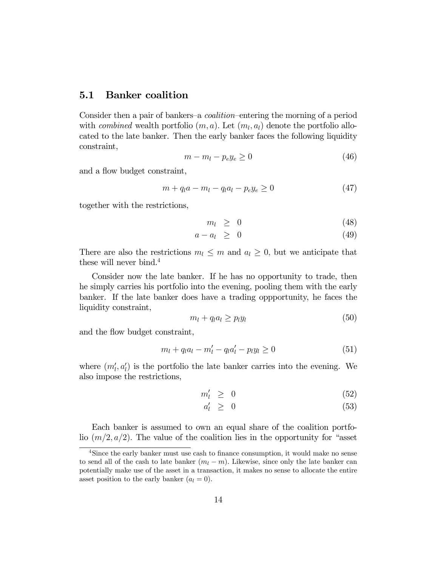#### 5.1 Banker coalition

Consider then a pair of bankers—a coalition—entering the morning of a period with *combined* wealth portfolio  $(m, a)$ . Let  $(m_l, a_l)$  denote the portfolio allocated to the late banker. Then the early banker faces the following liquidity constraint,

$$
m - m_l - p_e y_e \ge 0 \tag{46}
$$

and a flow budget constraint,

$$
m + q_l a - m_l - q_l a_l - p_e y_e \ge 0
$$
\n(47)

together with the restrictions,

$$
m_l \geq 0 \tag{48}
$$

$$
a - a_l \geq 0 \tag{49}
$$

There are also the restrictions  $m_l \leq m$  and  $a_l \geq 0$ , but we anticipate that these will never bind.<sup>4</sup>

Consider now the late banker. If he has no opportunity to trade, then he simply carries his portfolio into the evening, pooling them with the early banker. If the late banker does have a trading oppportunity, he faces the liquidity constraint,

$$
m_l + q_l a_l \geq p_l y_l \tag{50}
$$

and the flow budget constraint,

$$
m_l + q_l a_l - m'_l - q_l a'_l - p_l y_l \ge 0 \tag{51}
$$

where  $(m'_l, a'_l)$  is the portfolio the late banker carries into the evening. We also impose the restrictions,

$$
m'_l \geq 0 \tag{52}
$$

$$
a'_l \geq 0 \tag{53}
$$

Each banker is assumed to own an equal share of the coalition portfolio  $(m/2, a/2)$ . The value of the coalition lies in the opportunity for "asset"

<sup>&</sup>lt;sup>4</sup>Since the early banker must use cash to finance consumption, it would make no sense to send all of the cash to late banker  $(m_l - m)$ . Likewise, since only the late banker can potentially make use of the asset in a transaction, it makes no sense to allocate the entire asset position to the early banker  $(a_l = 0)$ .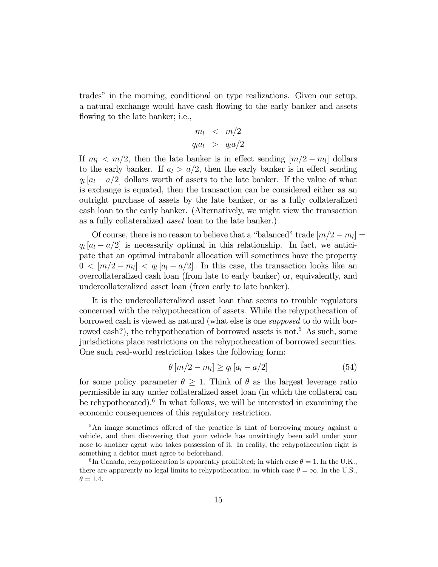trades" in the morning, conditional on type realizations. Given our setup, a natural exchange would have cash flowing to the early banker and assets flowing to the late banker; i.e.,

$$
m_l < m/2
$$
\n
$$
q_l a_l > q_l a/2
$$

If  $m_l < m/2$ , then the late banker is in effect sending  $[m/2 - m_l]$  dollars to the early banker. If  $a_l > a/2$ , then the early banker is in effect sending  $q_l$  [ $a_l - a/2$ ] dollars worth of assets to the late banker. If the value of what is exchange is equated, then the transaction can be considered either as an outright purchase of assets by the late banker, or as a fully collateralized cash loan to the early banker. (Alternatively, we might view the transaction as a fully collateralized asset loan to the late banker.)

Of course, there is no reason to believe that a "balanced" trade  $[m/2 - m_l] =$  $q_l | a_l - a/2 |$  is necessarily optimal in this relationship. In fact, we anticipate that an optimal intrabank allocation will sometimes have the property  $0 < [m/2 - m_l] < q_l [a_l - a/2]$ . In this case, the transaction looks like an overcollateralized cash loan (from late to early banker) or, equivalently, and undercollateralized asset loan (from early to late banker).

It is the undercollateralized asset loan that seems to trouble regulators concerned with the rehypothecation of assets. While the rehypothecation of borrowed cash is viewed as natural (what else is one supposed to do with borrowed cash?), the rehypothecation of borrowed assets is not.<sup>5</sup> As such, some jurisdictions place restrictions on the rehypothecation of borrowed securities. One such real-world restriction takes the following form:

$$
\theta \left[ m/2 - m_l \right] \ge q_l \left[ a_l - a/2 \right] \tag{54}
$$

for some policy parameter  $\theta > 1$ . Think of  $\theta$  as the largest leverage ratio permissible in any under collateralized asset loan (in which the collateral can be rehypothecated).<sup>6</sup> In what follows, we will be interested in examining the economic consequences of this regulatory restriction.

<sup>&</sup>lt;sup>5</sup>An image sometimes offered of the practice is that of borrowing money against a vehicle, and then discovering that your vehicle has unwittingly been sold under your nose to another agent who takes possession of it. In reality, the rehypothecation right is something a debtor must agree to beforehand.

<sup>&</sup>lt;sup>6</sup>In Canada, rehypothecation is apparently prohibited; in which case  $\theta = 1$ . In the U.K., there are apparently no legal limits to rehypothecation; in which case  $\theta = \infty$ . In the U.S.,  $\theta = 1.4$ .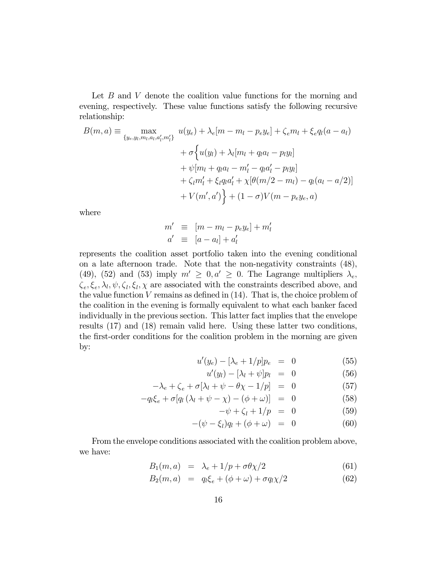Let  $B$  and  $V$  denote the coalition value functions for the morning and evening, respectively. These value functions satisfy the following recursive relationship:

$$
B(m, a) \equiv \max_{\{y_e, y_l, m_l, a_l, a'_l, m'_l\}} u(y_e) + \lambda_e[m - m_l - p_e y_e] + \zeta_e m_l + \xi_e q_l(a - a_l)
$$
  
+  $\sigma \Big\{ u(y_l) + \lambda_l[m_l + q_l a_l - p_l y_l]$   
+  $\psi[m_l + q_l a_l - m'_l - q_l a'_l - p_l y_l]$   
+  $\zeta_l m'_l + \xi_l q_l a'_l + \chi[\theta(m/2 - m_l) - q_l(a_l - a/2)]$   
+  $V(m', a') \Big\} + (1 - \sigma)V(m - p_e y_e, a)$ 

where

$$
m' \equiv [m - m_l - p_e y_e] + m'_l
$$
  
\n
$$
a' \equiv [a - a_l] + a'_l
$$

represents the coalition asset portfolio taken into the evening conditional on a late afternoon trade. Note that the non-negativity constraints (48), (49), (52) and (53) imply  $m' \geq 0, a' \geq 0$ . The Lagrange multipliers  $\lambda_e$ ,  $\zeta_e, \xi_e, \lambda_l, \psi, \zeta_l, \xi_l, \chi$  are associated with the constraints described above, and the value function  $V$  remains as defined in  $(14)$ . That is, the choice problem of the coalition in the evening is formally equivalent to what each banker faced individually in the previous section. This latter fact implies that the envelope results (17) and (18) remain valid here. Using these latter two conditions, the first-order conditions for the coalition problem in the morning are given by:

$$
u'(y_e) - [\lambda_e + 1/p]p_e = 0 \tag{55}
$$

$$
u'(y_l) - [\lambda_l + \psi] p_l = 0 \qquad (56)
$$

$$
-\lambda_e + \zeta_e + \sigma[\lambda_l + \psi - \theta \chi - 1/p] = 0 \tag{57}
$$

$$
-q_l \xi_e + \sigma [q_l (\lambda_l + \psi - \chi) - (\phi + \omega)] = 0 \tag{58}
$$

$$
-\psi + \zeta_l + 1/p = 0 \tag{59}
$$

$$
-(\psi - \xi_l)q_l + (\phi + \omega) = 0 \tag{60}
$$

From the envelope conditions associated with the coalition problem above, we have:

$$
B_1(m, a) = \lambda_e + 1/p + \sigma \theta \chi/2 \tag{61}
$$

$$
B_2(m, a) = q_l \xi_e + (\phi + \omega) + \sigma q_l \chi/2 \tag{62}
$$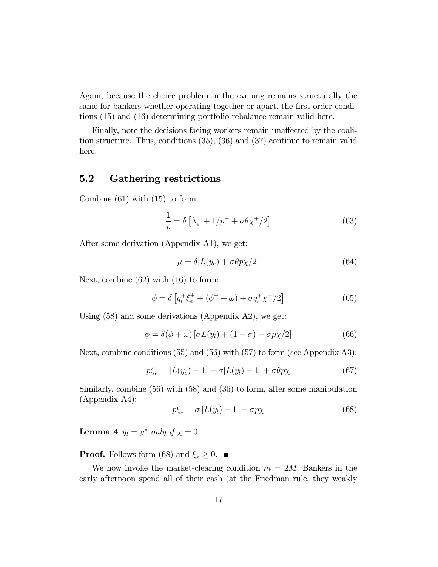Again, because the choice problem in the evening remains structurally the same for bankers whether operating together or apart, the first-order conditions (15) and (16) determining portfolio rebalance remain valid here.

Finally, note the decisions facing workers remain unaffected by the coalition structure. Thus, conditions (35), (36) and (37) continue to remain valid here.

### 5.2 Gathering restrictions

Combine (61) with (15) to form:

$$
\frac{1}{p} = \delta \left[ \lambda_e^+ + 1/p^+ + \sigma \theta \chi^+ / 2 \right] \tag{63}
$$

After some derivation (Appendix A1), we get:

$$
\mu = \delta[L(y_e) + \sigma \theta p \chi/2] \tag{64}
$$

Next, combine (62) with (16) to form:

$$
\phi = \delta \left[ q_l^+ \xi_e^+ + (\phi^+ + \omega) + \sigma q_l^+ \chi^+ / 2 \right] \tag{65}
$$

Using (58) and some derivations (Appendix A2), we get:

$$
\phi = \delta(\phi + \omega) [\sigma L(y_l) + (1 - \sigma) - \sigma p \chi/2]
$$
\n(66)

Next, combine conditions (55) and (56) with (57) to form (see Appendix A3):

$$
p\zeta_e = [L(y_e) - 1] - \sigma [L(y_l) - 1] + \sigma \theta p \chi \tag{67}
$$

Similarly, combine (56) with (58) and (36) to form, after some manipulation (Appendix A4):

$$
p\xi_e = \sigma \left[ L(y_l) - 1 \right] - \sigma p \chi \tag{68}
$$

**Lemma 4**  $y_l = y^*$  only if  $\chi = 0$ .

**Proof.** Follows form (68) and  $\xi_e \geq 0$ .

We now invoke the market-clearing condition  $m = 2M$ . Bankers in the early afternoon spend all of their cash (at the Friedman rule, they weakly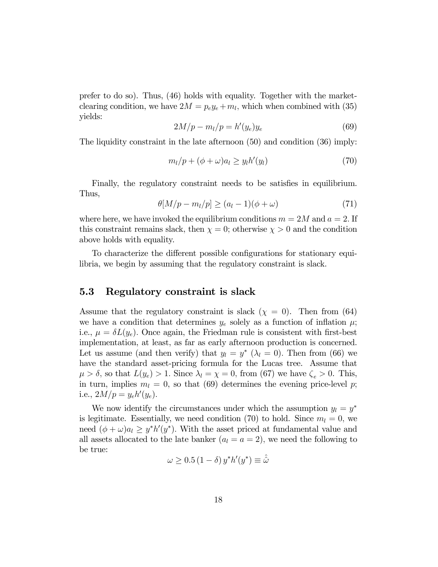prefer to do so). Thus, (46) holds with equality. Together with the marketclearing condition, we have  $2M = p_e y_e + m_l$ , which when combined with (35) yields:

$$
2M/p - m_l/p = h'(y_e)y_e \tag{69}
$$

The liquidity constraint in the late afternoon (50) and condition (36) imply:

$$
m_l/p + (\phi + \omega)a_l \ge y_l h'(y_l) \tag{70}
$$

Finally, the regulatory constraint needs to be satisfies in equilibrium. Thus,

$$
\theta[M/p - m_l/p] \ge (a_l - 1)(\phi + \omega) \tag{71}
$$

where here, we have invoked the equilibrium conditions  $m = 2M$  and  $a = 2$ . If this constraint remains slack, then  $\chi = 0$ ; otherwise  $\chi > 0$  and the condition above holds with equality.

To characterize the different possible configurations for stationary equilibria, we begin by assuming that the regulatory constraint is slack.

#### 5.3 Regulatory constraint is slack

Assume that the regulatory constraint is slack  $(\chi = 0)$ . Then from (64) we have a condition that determines  $y_e$  solely as a function of inflation  $\mu$ ; i.e.,  $\mu = \delta L(y_e)$ . Once again, the Friedman rule is consistent with first-best implementation, at least, as far as early afternoon production is concerned. Let us assume (and then verify) that  $y_l = y^*$  ( $\lambda_l = 0$ ). Then from (66) we have the standard asset-pricing formula for the Lucas tree. Assume that  $\mu > \delta$ , so that  $L(y_e) > 1$ . Since  $\lambda_l = \chi = 0$ , from (67) we have  $\zeta_e > 0$ . This, in turn, implies  $m_l = 0$ , so that (69) determines the evening price-level p; i.e.,  $2M/p = y_e h'(y_e)$ .

We now identify the circumstances under which the assumption  $y_l = y^*$ is legitimate. Essentially, we need condition (70) to hold. Since  $m_l = 0$ , we need  $(\phi + \omega)a_l \geq y^*h'(y^*)$ . With the asset priced at fundamental value and all assets allocated to the late banker  $(a_l = a = 2)$ , we need the following to be true:

$$
\omega \ge 0.5 (1 - \delta) y^* h'(y^*) \equiv \hat{\omega}
$$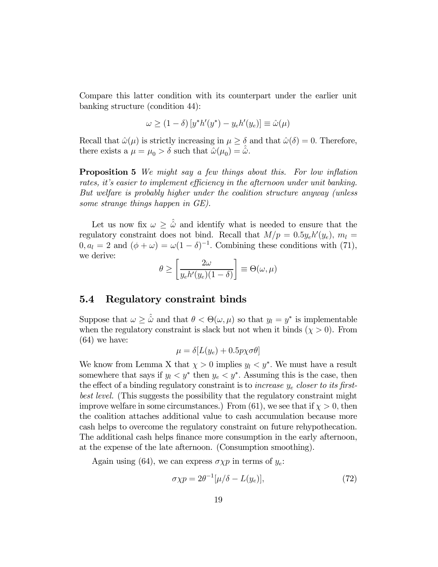Compare this latter condition with its counterpart under the earlier unit banking structure (condition 44):

$$
\omega \ge (1 - \delta) \left[ y^* h'(y^*) - y_e h'(y_e) \right] \equiv \hat{\omega}(\mu)
$$

Recall that  $\hat{\omega}(\mu)$  is strictly increasing in  $\mu \geq \delta$  and that  $\hat{\omega}(\delta)=0$ . Therefore, there exists a  $\mu = \mu_0 > \delta$  such that  $\hat{\omega}(\mu_0) = \hat{\omega}$ .

**Proposition 5** We might say a few things about this. For low inflation rates, it's easier to implement efficiency in the afternoon under unit banking. But welfare is probably higher under the coalition structure anyway (unless some strange things happen in GE).

Let us now fix  $\omega \geq \hat{\omega}$  and identify what is needed to ensure that the regulatory constraint does not bind. Recall that  $M/p = 0.5y_e h'(y_e)$ ,  $m_l =$  $0, a_l = 2$  and  $(\phi + \omega) = \omega(1 - \delta)^{-1}$ . Combining these conditions with (71), we derive:

$$
\theta \ge \left[ \frac{2\omega}{y_e h'(y_e)(1-\delta)} \right] \equiv \Theta(\omega,\mu)
$$

#### 5.4 Regulatory constraint binds

Suppose that  $\omega \geq \hat{\omega}$  and that  $\theta < \Theta(\omega, \mu)$  so that  $y_l = y^*$  is implementable when the regulatory constraint is slack but not when it binds  $(\chi > 0)$ . From (64) we have:

$$
\mu = \delta[L(y_e) + 0.5p\chi\sigma\theta]
$$

We know from Lemma X that  $\chi > 0$  implies  $y_l < y^*$ . We must have a result somewhere that says if  $y_l < y^*$  then  $y_e < y^*$ . Assuming this is the case, then the effect of a binding regulatory constraint is to *increase*  $y_e$  *closer to its first*best level. (This suggests the possibility that the regulatory constraint might improve welfare in some circumstances.) From (61), we see that if  $\chi > 0$ , then the coalition attaches additional value to cash accumulation because more cash helps to overcome the regulatory constraint on future rehypothecation. The additional cash helps finance more consumption in the early afternoon, at the expense of the late afternoon. (Consumption smoothing).

Again using (64), we can express  $\sigma \chi p$  in terms of  $y_e$ :

$$
\sigma \chi p = 2\theta^{-1} [\mu/\delta - L(y_e)], \qquad (72)
$$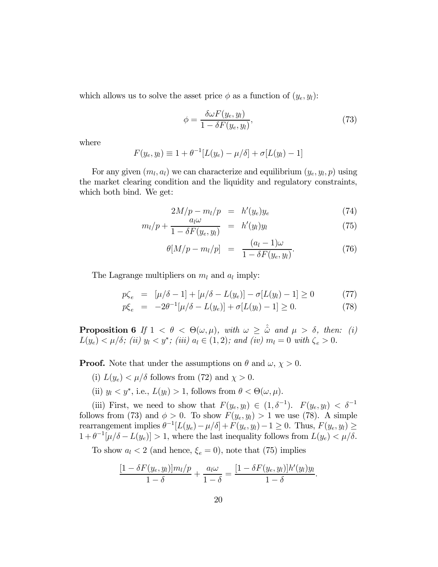which allows us to solve the asset price  $\phi$  as a function of  $(y_e, y_l)$ :

$$
\phi = \frac{\delta \omega F(y_e, y_l)}{1 - \delta F(y_e, y_l)},\tag{73}
$$

where

$$
F(y_e, y_l) \equiv 1 + \theta^{-1} [L(y_e) - \mu/\delta] + \sigma [L(y_l) - 1]
$$

For any given  $(m_l, a_l)$  we can characterize and equilibrium  $(y_e, y_l, p)$  using the market clearing condition and the liquidity and regulatory constraints, which both bind. We get:

$$
2M/p - m_l/p = h'(y_e)y_e \tag{74}
$$

$$
m_l/p + \frac{a_l \omega}{1 - \delta F(y_e, y_l)} = h'(y_l)y_l \tag{75}
$$

$$
\theta[M/p - m_l/p] = \frac{(a_l - 1)\omega}{1 - \delta F(y_e, y_l)}.
$$
\n(76)

The Lagrange multipliers on  $m_l$  and  $a_l$  imply:

$$
p\zeta_e = [\mu/\delta - 1] + [\mu/\delta - L(y_e)] - \sigma[L(y_l) - 1] \ge 0 \tag{77}
$$

$$
p\xi_e = -2\theta^{-1}[\mu/\delta - L(y_e)] + \sigma[L(y_l) - 1] \ge 0.
$$
 (78)

**Proposition 6** If  $1 < \theta < \Theta(\omega, \mu)$ , with  $\omega \geq \hat{\omega}$  and  $\mu > \delta$ , then: (i)  $L(y_e) < \mu/\delta$ ; (ii)  $y_l < y^*$ ; (iii)  $a_l \in (1, 2)$ ; and (iv)  $m_l = 0$  with  $\zeta_e > 0$ .

**Proof.** Note that under the assumptions on  $\theta$  and  $\omega$ ,  $\chi > 0$ .

- (i)  $L(y_e) < \mu/\delta$  follows from (72) and  $\chi > 0$ .
- (ii)  $y_l < y^*$ , i.e.,  $L(y_l) > 1$ , follows from  $\theta < \Theta(\omega, \mu)$ .

(iii) First, we need to show that  $F(y_e, y_l) \in (1, \delta^{-1})$ .  $F(y_e, y_l) < \delta^{-1}$ follows from (73) and  $\phi > 0$ . To show  $F(y_e, y_l) > 1$  we use (78). A simple rearrangement implies  $\theta^{-1}[L(y_e) - \mu/\delta] + F(y_e, y_l) - 1 \ge 0$ . Thus,  $F(y_e, y_l) \ge$  $1 + \theta^{-1}[\mu/\delta - L(y_e)] > 1$ , where the last inequality follows from  $L(y_e) < \mu/\delta$ .

To show  $a_l < 2$  (and hence,  $\xi_e = 0$ ), note that (75) implies

$$
\frac{[1-\delta F(y_e, y_l)]m_l/p}{1-\delta} + \frac{a_l\omega}{1-\delta} = \frac{[1-\delta F(y_e, y_l)]h'(y_l)y_l}{1-\delta}.
$$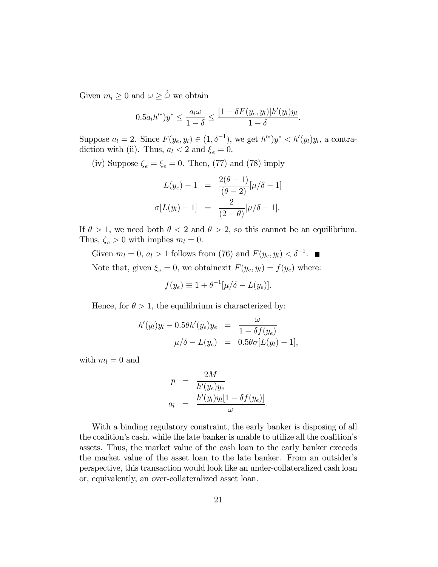Given  $m_l \geq 0$  and  $\omega \geq \hat{\omega}$  we obtain

$$
0.5a_l h'^{*})y^{*} \leq \frac{a_l \omega}{1-\delta} \leq \frac{[1-\delta F(y_e, y_l)]h'(y_l)y_l}{1-\delta}.
$$

Suppose  $a_l = 2$ . Since  $F(y_e, y_l) \in (1, \delta^{-1})$ , we get  $h'^{*}$ ) $y^* < h'(y_l)y_l$ , a contradiction with (ii). Thus,  $a_l < 2$  and  $\xi_e = 0$ .

(iv) Suppose  $\zeta_e = \xi_e = 0$ . Then, (77) and (78) imply

$$
L(y_e) - 1 = \frac{2(\theta - 1)}{(\theta - 2)} [\mu/\delta - 1]
$$
  

$$
\sigma[L(y_l) - 1] = \frac{2}{(2 - \theta)} [\mu/\delta - 1].
$$

If  $\theta > 1$ , we need both  $\theta < 2$  and  $\theta > 2$ , so this cannot be an equilibrium. Thus,  $\zeta_e > 0$  with implies  $m_l = 0$ .

Given  $m_l = 0$ ,  $a_l > 1$  follows from (76) and  $F(y_e, y_l) < \delta^{-1}$ . Note that, given  $\xi_e = 0$ , we obtainexit  $F(y_e, y_l) = f(y_e)$  where:

$$
f(y_e) \equiv 1 + \theta^{-1} [\mu/\delta - L(y_e)].
$$

Hence, for  $\theta > 1$ , the equilibrium is characterized by:

$$
h'(y_l)y_l - 0.5\theta h'(y_e)y_e = \frac{\omega}{1 - \delta f(y_e)}
$$
  

$$
\mu/\delta - L(y_e) = 0.5\theta \sigma [L(y_l) - 1],
$$

with  $m_l = 0$  and

$$
p = \frac{2M}{h'(y_e)y_e}
$$
  

$$
a_l = \frac{h'(y_l)y_l[1 - \delta f(y_e)]}{\omega}.
$$

With a binding regulatory constraint, the early banker is disposing of all the coalition's cash, while the late banker is unable to utilize all the coalition's assets. Thus, the market value of the cash loan to the early banker exceeds the market value of the asset loan to the late banker. From an outsider's perspective, this transaction would look like an under-collateralized cash loan or, equivalently, an over-collateralized asset loan.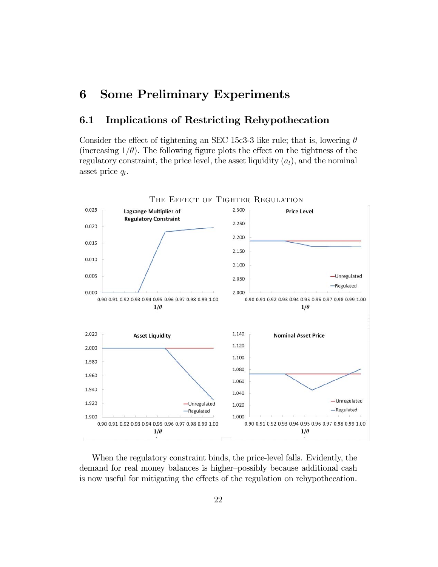## 6 Some Preliminary Experiments

### 6.1 Implications of Restricting Rehypothecation

Consider the effect of tightening an SEC 15c3-3 like rule; that is, lowering  $\theta$ (increasing  $1/\theta$ ). The following figure plots the effect on the tightness of the regulatory constraint, the price level, the asset liquidity  $(a_l)$ , and the nominal asset price  $q_l$ .



When the regulatory constraint binds, the price-level falls. Evidently, the demand for real money balances is higher—possibly because additional cash is now useful for mitigating the effects of the regulation on rehypothecation.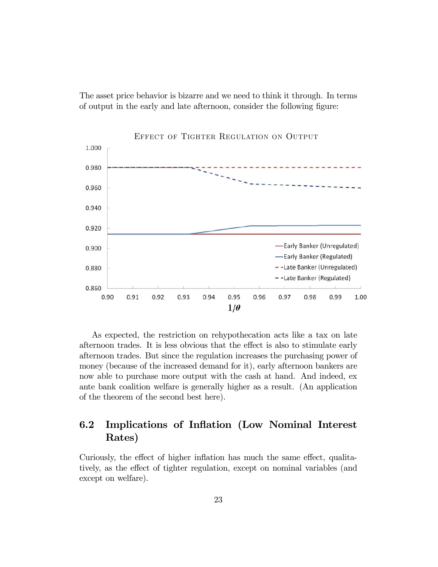The asset price behavior is bizarre and we need to think it through. In terms of output in the early and late afternoon, consider the following figure:



As expected, the restriction on rehypothecation acts like a tax on late afternoon trades. It is less obvious that the effect is also to stimulate early afternoon trades. But since the regulation increases the purchasing power of money (because of the increased demand for it), early afternoon bankers are now able to purchase more output with the cash at hand. And indeed, ex ante bank coalition welfare is generally higher as a result. (An application of the theorem of the second best here).

### 6.2 Implications of Inflation (Low Nominal Interest Rates)

Curiously, the effect of higher inflation has much the same effect, qualitatively, as the effect of tighter regulation, except on nominal variables (and except on welfare).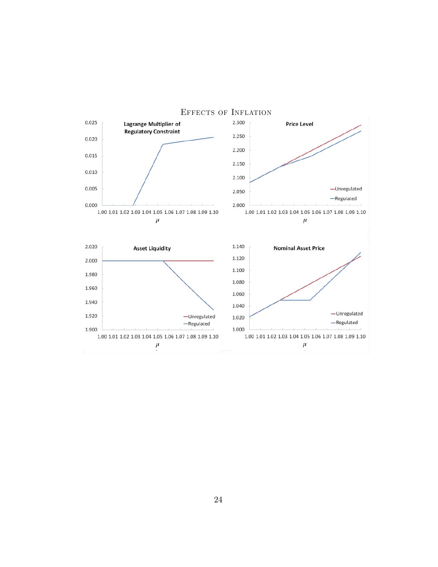

24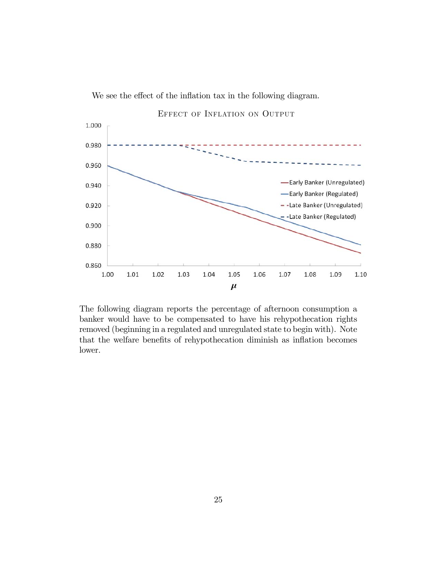



The following diagram reports the percentage of afternoon consumption a banker would have to be compensated to have his rehypothecation rights removed (beginning in a regulated and unregulated state to begin with). Note that the welfare benefits of rehypothecation diminish as inflation becomes lower.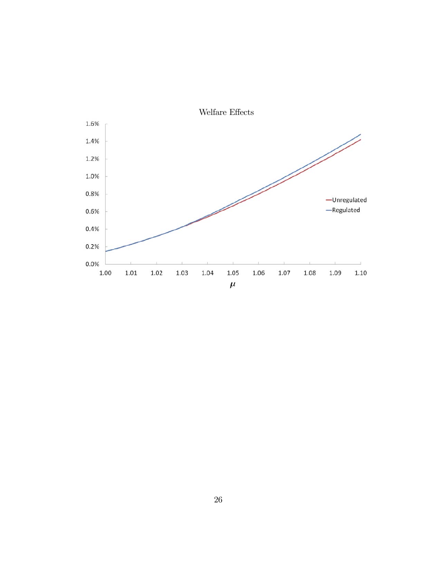

26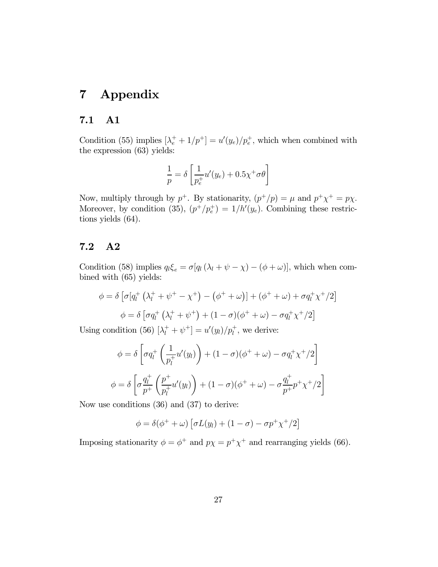## 7 Appendix

### 7.1 A1

Condition (55) implies  $\left[\lambda_e^+ + 1/p^+\right] = u'(y_e)/p_e^+$ , which when combined with the expression (63) yields:

$$
\frac{1}{p} = \delta \left[ \frac{1}{p_e^+} u'(y_e) + 0.5 \chi^+ \sigma \theta \right]
$$

Now, multiply through by  $p^+$ . By stationarity,  $(p^+/p) = \mu$  and  $p^+\chi^+ = p\chi$ . Moreover, by condition (35),  $(p^{+}/p_{e}^{+}) = 1/h'(y_{e})$ . Combining these restrictions yields (64).

### 7.2 A2

Condition (58) implies  $q_l \xi_e = \sigma[q_l(\lambda_l + \psi - \chi) - (\phi + \omega)]$ , which when combined with (65) yields:

$$
\phi = \delta \left[ \sigma \left[ q_l^+ \left( \lambda_l^+ + \psi^+ - \chi^+ \right) - \left( \phi^+ + \omega \right) \right] + \left( \phi^+ + \omega \right) + \sigma q_l^+ \chi^+ / 2 \right]
$$

$$
\phi = \delta \left[ \sigma q_l^+ \left( \lambda_l^+ + \psi^+ \right) + (1 - \sigma) \left( \phi^+ + \omega \right) - \sigma q_l^+ \chi^+ / 2 \right]
$$

Using condition (56)  $[\lambda_l^+ + \psi^+] = u'(y_l)/p_l^+$ , we derive:

$$
\phi = \delta \left[ \sigma q_l^+ \left( \frac{1}{p_l^+} u'(y_l) \right) + (1 - \sigma)(\phi^+ + \omega) - \sigma q_l^+ \chi^+ / 2 \right]
$$

$$
\phi = \delta \left[ \sigma \frac{q_l^+}{p_+^+} \left( \frac{p_+^+}{p_l^+} u'(y_l) \right) + (1 - \sigma)(\phi^+ + \omega) - \sigma \frac{q_l^+}{p_+^+} p_+^+ \chi^+ / 2 \right]
$$

Now use conditions (36) and (37) to derive:

$$
\phi = \delta(\phi^+ + \omega) \left[ \sigma L(y_l) + (1 - \sigma) - \sigma p^+ \chi^+ / 2 \right]
$$

Imposing stationarity  $\phi = \phi^+$  and  $p\chi = p^+\chi^+$  and rearranging yields (66).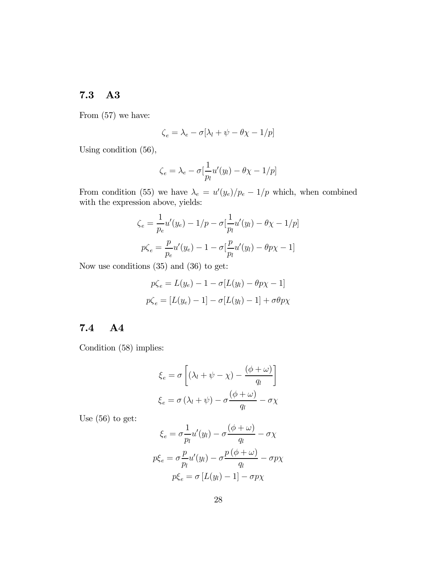### 7.3 A3

From (57) we have:

$$
\zeta_e = \lambda_e - \sigma[\lambda_l + \psi - \theta \chi - 1/p]
$$

Using condition (56),

$$
\zeta_e = \lambda_e - \sigma \left[\frac{1}{p_l} u'(y_l) - \theta \chi - 1/p\right]
$$

From condition (55) we have  $\lambda_e = u'(y_e)/p_e - 1/p$  which, when combined with the expression above, yields:

$$
\zeta_e = \frac{1}{p_e} u'(y_e) - 1/p - \sigma \left[ \frac{1}{p_l} u'(y_l) - \theta \chi - 1/p \right]
$$

$$
p \zeta_e = \frac{p}{p_e} u'(y_e) - 1 - \sigma \left[ \frac{p}{p_l} u'(y_l) - \theta p \chi - 1 \right]
$$

Now use conditions (35) and (36) to get:

$$
p\zeta_e = L(y_e) - 1 - \sigma[L(y_l) - \theta p \chi - 1]
$$

$$
p\zeta_e = [L(y_e) - 1] - \sigma[L(y_l) - 1] + \sigma \theta p \chi
$$

### 7.4 A4

Condition (58) implies:

$$
\xi_e = \sigma \left[ (\lambda_l + \psi - \chi) - \frac{(\phi + \omega)}{q_l} \right]
$$

$$
\xi_e = \sigma (\lambda_l + \psi) - \sigma \frac{(\phi + \omega)}{q_l} - \sigma \chi
$$

Use (56) to get:

$$
\xi_e = \sigma \frac{1}{p_l} u'(y_l) - \sigma \frac{(\phi + \omega)}{q_l} - \sigma \chi
$$

$$
p\xi_e = \sigma \frac{p}{p_l} u'(y_l) - \sigma \frac{p(\phi + \omega)}{q_l} - \sigma p \chi
$$

$$
p\xi_e = \sigma [L(y_l) - 1] - \sigma p \chi
$$